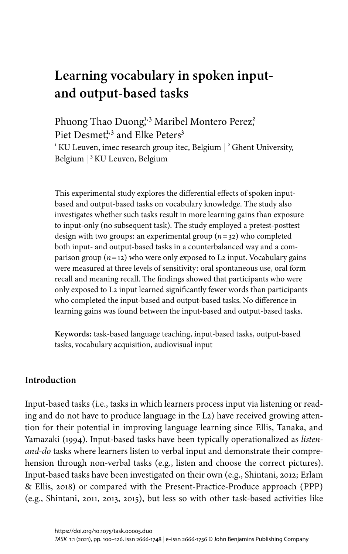# **Learning vocabulary in spoken inputand output-based tasks**

Phuong Thao Duong,<sup>1,3</sup> Maribel Montero Perez<sup>2</sup>, Piet Desmet<sup>1,3</sup> and Elke Peters<sup>3</sup>  $^1$ KU Leuven, imec research group itec, Belgium  $\mid$  <sup>2</sup> Ghent University, Belgium | <sup>3</sup> KU Leuven, Belgium

This experimental study explores the differential effects of spoken inputbased and output-based tasks on vocabulary knowledge. The study also investigates whether such tasks result in more learning gains than exposure to input-only (no subsequent task). The study employed a pretest-posttest design with two groups: an experimental group (*n*=32) who completed both input- and output-based tasks in a counterbalanced way and a comparison group (*n*=12) who were only exposed to L2 input. Vocabulary gains were measured at three levels of sensitivity: oral spontaneous use, oral form recall and meaning recall. The findings showed that participants who were only exposed to L2 input learned significantly fewer words than participants who completed the input-based and output-based tasks. No difference in learning gains was found between the input-based and output-based tasks.

**Keywords:** task-based language teaching, input-based tasks, output-based tasks, vocabulary acquisition, audiovisual input

## **Introduction**

Input-based tasks (i.e., tasks in which learners process input via listening or reading and do not have to produce language in the L2) have received growing attention for their potential in improving language learning since [Ellis, Tanaka, and](#page-21-0) [Yamazaki \(1994\).](#page-21-0) Input-based tasks have been typically operationalized as *listenand-do* tasks where learners listen to verbal input and demonstrate their comprehension through non-verbal tasks (e.g., listen and choose the correct pictures). Input-based tasks have been investigated on their own (e.g., [Shintani, 2012;](#page-23-0) [Erlam](#page-21-1) [& Ellis, 2018\)](#page-21-1) or compared with the Present-Practice-Produce approach (PPP) (e.g., [Shintani, 2011](#page-23-1), [2013,](#page-23-2) [2015](#page-23-3)), but less so with other task-based activities like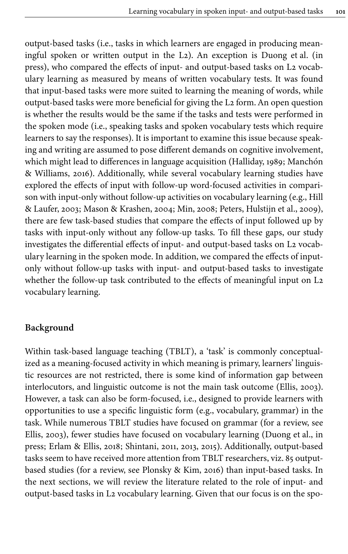output-based tasks (i.e., tasks in which learners are engaged in producing meaningful spoken or written output in the L2). An exception is [Duong et](#page-21-2) al. (in [press\),](#page-21-2) who compared the effects of input- and output-based tasks on L2 vocabulary learning as measured by means of written vocabulary tests. It was found that input-based tasks were more suited to learning the meaning of words, while output-based tasks were more beneficial for giving the L2 form. An open question is whether the results would be the same if the tasks and tests were performed in the spoken mode (i.e., speaking tasks and spoken vocabulary tests which require learners to say the responses). It is important to examine this issue because speaking and writing are assumed to pose different demands on cognitive involvement, which might lead to differences in language acquisition [\(Halliday, 1989](#page-21-3); [Manchón](#page-22-0) [& Williams, 2016](#page-22-0)). Additionally, while several vocabulary learning studies have explored the effects of input with follow-up word-focused activities in comparison with input-only without follow-up activities on vocabulary learning (e.g., [Hill](#page-21-4) [& Laufer, 2003;](#page-21-4) [Mason & Krashen, 2004;](#page-22-1) [Min, 2008](#page-22-2); [Peters, Hulstijn et](#page-22-3) al., 2009), there are few task-based studies that compare the effects of input followed up by tasks with input-only without any follow-up tasks. To fill these gaps, our study investigates the differential effects of input- and output-based tasks on L2 vocabulary learning in the spoken mode. In addition, we compared the effects of inputonly without follow-up tasks with input- and output-based tasks to investigate whether the follow-up task contributed to the effects of meaningful input on L2 vocabulary learning.

#### **Background**

Within task-based language teaching (TBLT), a 'task' is commonly conceptualized as a meaning-focused activity in which meaning is primary, learners' linguistic resources are not restricted, there is some kind of information gap between interlocutors, and linguistic outcome is not the main task outcome ([Ellis, 2003\)](#page-21-5). However, a task can also be form-focused, i.e., designed to provide learners with opportunities to use a specific linguistic form (e.g., vocabulary, grammar) in the task. While numerous TBLT studies have focused on grammar (for a review, see [Ellis, 2003](#page-21-5)), fewer studies have focused on vocabulary learning [\(Duong et](#page-21-2) al., in [press;](#page-21-2) [Erlam & Ellis, 2018](#page-21-1); [Shintani, 2011](#page-23-1), [2013](#page-23-2), 2015). Additionally, output-based tasks seem to have received more attention from TBLT researchers, viz. 85 outputbased studies (for a review, see [Plonsky & Kim, 2016](#page-22-4)) than input-based tasks. In the next sections, we will review the literature related to the role of input- and output-based tasks in L2 vocabulary learning. Given that our focus is on the spo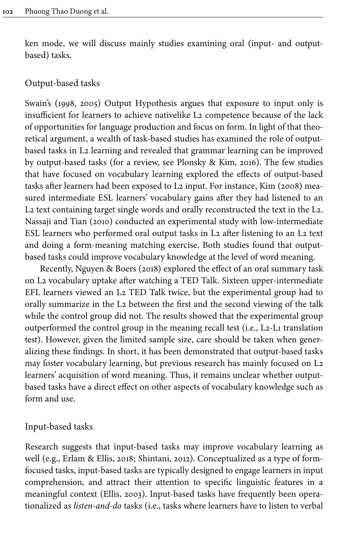ken mode, we will discuss mainly studies examining oral (input- and outputbased) tasks.

#### Output-based tasks

Swain's [\(1998,](#page-23-4) [2005](#page-23-5)) Output Hypothesis argues that exposure to input only is insufficient for learners to achieve nativelike L2 competence because of the lack of opportunities for language production and focus on form. In light of that theoretical argument, a wealth of task-based studies has examined the role of outputbased tasks in L2 learning and revealed that grammar learning can be improved by output-based tasks (for a review, see [Plonsky & Kim, 2016](#page-22-4)). The few studies that have focused on vocabulary learning explored the effects of output-based tasks after learners had been exposed to L2 input. For instance, [Kim \(2008\)](#page-22-5) measured intermediate ESL learners' vocabulary gains after they had listened to an L2 text containing target single words and orally reconstructed the text in the L2. [Nassaji and Tian \(2010\)](#page-22-6) conducted an experimental study with low-intermediate ESL learners who performed oral output tasks in L2 after listening to an L2 text and doing a form-meaning matching exercise. Both studies found that outputbased tasks could improve vocabulary knowledge at the level of word meaning.

Recently, [Nguyen & Boers \(2018\)](#page-22-7) explored the effect of an oral summary task on L2 vocabulary uptake after watching a TED Talk. Sixteen upper-intermediate EFL learners viewed an L2 TED Talk twice, but the experimental group had to orally summarize in the L2 between the first and the second viewing of the talk while the control group did not. The results showed that the experimental group outperformed the control group in the meaning recall test (i.e., L2-L1 translation test). However, given the limited sample size, care should be taken when generalizing these findings. In short, it has been demonstrated that output-based tasks may foster vocabulary learning, but previous research has mainly focused on L2 learners' acquisition of word meaning. Thus, it remains unclear whether outputbased tasks have a direct effect on other aspects of vocabulary knowledge such as form and use.

#### Input-based tasks

Research suggests that input-based tasks may improve vocabulary learning as well (e.g., [Erlam & Ellis, 2018;](#page-21-1) [Shintani, 2012\)](#page-23-0). Conceptualized as a type of formfocused tasks, input-based tasks are typically designed to engage learners in input comprehension, and attract their attention to specific linguistic features in a meaningful context ([Ellis, 2003\)](#page-21-5). Input-based tasks have frequently been operationalized as *listen-and-do* tasks (i.e., tasks where learners have to listen to verbal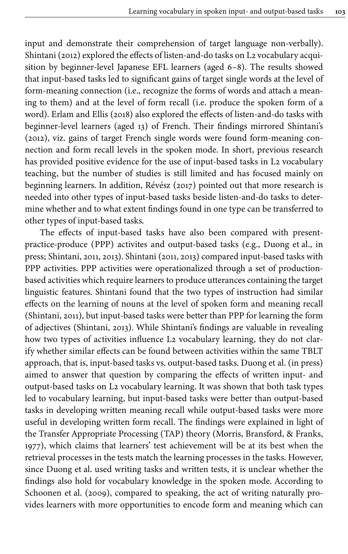input and demonstrate their comprehension of target language non-verbally). [Shintani \(2012\)](#page-23-0) explored the effects of listen-and-do tasks on L2 vocabulary acquisition by beginner-level Japanese EFL learners (aged 6–8). The results showed that input-based tasks led to significant gains of target single words at the level of form-meaning connection (i.e., recognize the forms of words and attach a meaning to them) and at the level of form recall (i.e. produce the spoken form of a word). [Erlam and Ellis \(2018\)](#page-21-1) also explored the effects of listen-and-do tasks with beginner-level learners (aged 13) of French. Their findings mirrored [Shintani's](#page-23-0) [\(2012\)](#page-23-0), viz. gains of target French single words were found form-meaning connection and form recall levels in the spoken mode. In short, previous research has provided positive evidence for the use of input-based tasks in L2 vocabulary teaching, but the number of studies is still limited and has focused mainly on beginning learners. In addition, [Révész \(2017\)](#page-23-6) pointed out that more research is needed into other types of input-based tasks beside listen-and-do tasks to determine whether and to what extent findings found in one type can be transferred to other types of input-based tasks.

The effects of input-based tasks have also been compared with presentpractice-produce (PPP) activites and output-based tasks (e.g., [Duong et](#page-21-2) al., in [press;](#page-21-2) [Shintani, 2011](#page-23-1), [2013\)](#page-23-2). Shintani [\(2011](#page-23-1), [2013\)](#page-23-2) compared input-based tasks with PPP activities. PPP activities were operationalized through a set of productionbased activities which require learners to produce utterances containing the target linguistic features. Shintani found that the two types of instruction had similar effects on the learning of nouns at the level of spoken form and meaning recall [\(Shintani, 2011\)](#page-23-1), but input-based tasks were better than PPP for learning the form of adjectives [\(Shintani, 2013](#page-23-2)). While Shintani's findings are valuable in revealing how two types of activities influence L2 vocabulary learning, they do not clarify whether similar effects can be found between activities within the same TBLT approach, that is, input-based tasks vs. output-based tasks. Duong et [al. \(in press\)](#page-21-2) aimed to answer that question by comparing the effects of written input- and output-based tasks on L2 vocabulary learning. It was shown that both task types led to vocabulary learning, but input-based tasks were better than output-based tasks in developing written meaning recall while output-based tasks were more useful in developing written form recall. The findings were explained in light of the Transfer Appropriate Processing (TAP) theory [\(Morris, Bransford, & Franks,](#page-22-8) [1977](#page-22-8)), which claims that learners' test achievement will be at its best when the retrieval processes in the tests match the learning processes in the tasks. However, since Duong et al. used writing tasks and written tests, it is unclear whether the findings also hold for vocabulary knowledge in the spoken mode. According to [Schoonen et](#page-23-7) al. (2009), compared to speaking, the act of writing naturally provides learners with more opportunities to encode form and meaning which can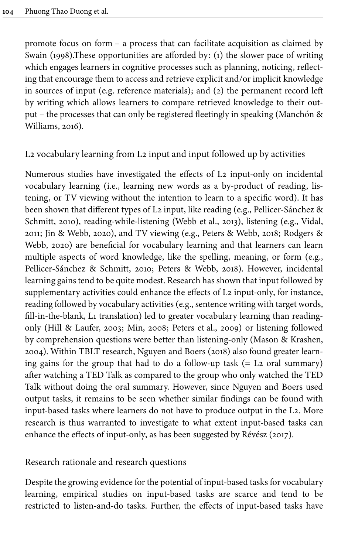promote focus on form – a process that can facilitate acquisition as claimed by [Swain \(1998\).](#page-23-4)These opportunities are afforded by: (1) the slower pace of writing which engages learners in cognitive processes such as planning, noticing, reflecting that encourage them to access and retrieve explicit and/or implicit knowledge in sources of input (e.g. reference materials); and (2) the permanent record left by writing which allows learners to compare retrieved knowledge to their output – the processes that can only be registered fleetingly in speaking ([Manchón &](#page-22-0) [Williams, 2016](#page-22-0)).

## L2 vocabulary learning from L2 input and input followed up by activities

Numerous studies have investigated the effects of L2 input-only on incidental vocabulary learning (i.e., learning new words as a by-product of reading, listening, or TV viewing without the intention to learn to a specific word). It has been shown that different types of L2 input, like reading (e.g., [Pellicer-Sánchez](#page-22-9) & [Schmitt, 2010](#page-22-9)), reading-while-listening [\(Webb et](#page-23-8) al., 2013), listening (e.g., [Vidal,](#page-23-9) [2011](#page-23-9); [Jin & Webb, 2020\)](#page-21-6), and TV viewing (e.g., [Peters & Webb, 2018](#page-22-10); [Rodgers &](#page-23-10) [Webb, 2020\)](#page-23-10) are beneficial for vocabulary learning and that learners can learn multiple aspects of word knowledge, like the spelling, meaning, or form (e.g., Pellicer-Sánchez [& Schmitt, 2010;](#page-22-9) [Peters & Webb, 2018\)](#page-22-10). However, incidental learning gains tend to be quite modest. Research has shown that input followed by supplementary activities could enhance the effects of L2 input-only, for instance, reading followed by vocabulary activities (e.g., sentence writing with target words, fill-in-the-blank, L1 translation) led to greater vocabulary learning than readingonly [\(Hill & Laufer, 2003;](#page-21-4) [Min, 2008;](#page-22-2) [Peters et](#page-22-3) al., 2009) or listening followed by comprehension questions were better than listening-only ([Mason & Krashen,](#page-22-1) [2004](#page-22-1)). Within TBLT research, [Nguyen and Boers \(2018\)](#page-22-7) also found greater learning gains for the group that had to do a follow-up task  $(= L<sub>2</sub> \text{ oral summary})$ after watching a TED Talk as compared to the group who only watched the TED Talk without doing the oral summary. However, since Nguyen and Boers used output tasks, it remains to be seen whether similar findings can be found with input-based tasks where learners do not have to produce output in the L2. More research is thus warranted to investigate to what extent input-based tasks can enhance the effects of input-only, as has been suggested by [Révész \(2017\).](#page-23-6)

## Research rationale and research questions

Despite the growing evidence for the potential of input-based tasks for vocabulary learning, empirical studies on input-based tasks are scarce and tend to be restricted to listen-and-do tasks. Further, the effects of input-based tasks have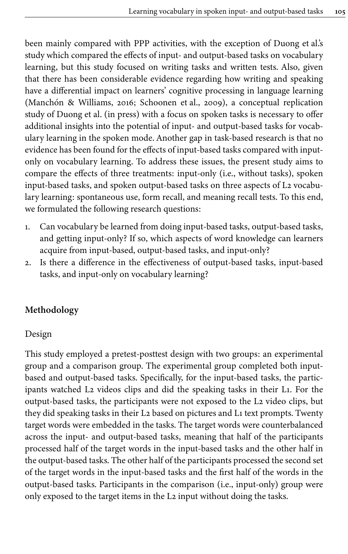been mainly compared with PPP activities, with the exception of Duong et al.'s study which compared the effects of input- and output-based tasks on vocabulary learning, but this study focused on writing tasks and written tests. Also, given that there has been considerable evidence regarding how writing and speaking have a differential impact on learners' cognitive processing in language learning [\(Manchón & Williams, 2016](#page-22-0); [Schoonen et](#page-23-7) al., 2009), a conceptual replication study of Duong et [al. \(in press\)](#page-21-2) with a focus on spoken tasks is necessary to offer additional insights into the potential of input- and output-based tasks for vocabulary learning in the spoken mode. Another gap in task-based research is that no evidence has been found for the effects of input-based tasks compared with inputonly on vocabulary learning. To address these issues, the present study aims to compare the effects of three treatments: input-only (i.e., without tasks), spoken input-based tasks, and spoken output-based tasks on three aspects of L2 vocabulary learning: spontaneous use, form recall, and meaning recall tests. To this end, we formulated the following research questions:

- 1. Can vocabulary be learned from doing input-based tasks, output-based tasks, and getting input-only? If so, which aspects of word knowledge can learners acquire from input-based, output-based tasks, and input-only?
- 2. Is there a difference in the effectiveness of output-based tasks, input-based tasks, and input-only on vocabulary learning?

# **Methodology**

#### Design

This study employed a pretest-posttest design with two groups: an experimental group and a comparison group. The experimental group completed both inputbased and output-based tasks. Specifically, for the input-based tasks, the participants watched L2 videos clips and did the speaking tasks in their L1. For the output-based tasks, the participants were not exposed to the L2 video clips, but they did speaking tasks in their L2 based on pictures and L1 text prompts. Twenty target words were embedded in the tasks. The target words were counterbalanced across the input- and output-based tasks, meaning that half of the participants processed half of the target words in the input-based tasks and the other half in the output-based tasks. The other half of the participants processed the second set of the target words in the input-based tasks and the first half of the words in the output-based tasks. Participants in the comparison (i.e., input-only) group were only exposed to the target items in the L2 input without doing the tasks.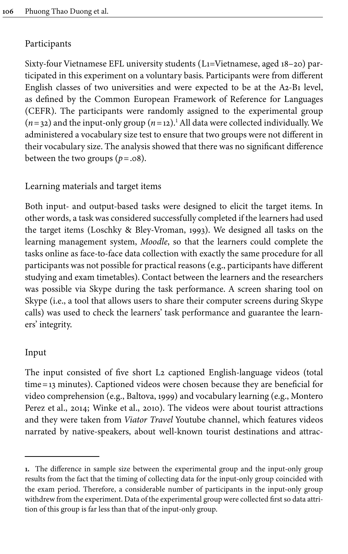## Participants

Sixty-four Vietnamese EFL university students (L1=Vietnamese, aged 18–20) participated in this experiment on a voluntary basis. Participants were from different English classes of two universities and were expected to be at the A2-B1 level, as defined by the Common European Framework of Reference for Languages (CEFR). The participants were randomly assigned to the experimental group  $(n=32)$  and the input-only group  $(n=12)$ .<sup>1</sup> All data were collected individually. We administered a vocabulary size test to ensure that two groups were not different in their vocabulary size. The analysis showed that there was no significant difference between the two groups  $(p=.08)$ .

# Learning materials and target items

Both input- and output-based tasks were designed to elicit the target items. In other words, a task was considered successfully completed if the learners had used the target items (Loschky & [Bley-Vroman, 1993\)](#page-21-7). We designed all tasks on the learning management system, *Moodle*, so that the learners could complete the tasks online as face-to-face data collection with exactly the same procedure for all participants was not possible for practical reasons (e.g., participants have different studying and exam timetables). Contact between the learners and the researchers was possible via Skype during the task performance. A screen sharing tool on Skype (i.e., a tool that allows users to share their computer screens during Skype calls) was used to check the learners' task performance and guarantee the learners' integrity.

## Input

The input consisted of five short L2 captioned English-language videos (total time=13 minutes). Captioned videos were chosen because they are beneficial for video comprehension (e.g., [Baltova, 1999](#page-21-8)) and vocabulary learning (e.g., [Montero](#page-22-11) Perez et [al., 2014](#page-22-11); [Winke et](#page-23-11) al., 2010). The videos were about tourist attractions and they were taken from *Viator Travel* Youtube channel, which features videos narrated by native-speakers, about well-known tourist destinations and attrac-

**<sup>1.</sup>** The difference in sample size between the experimental group and the input-only group results from the fact that the timing of collecting data for the input-only group coincided with the exam period. Therefore, a considerable number of participants in the input-only group withdrew from the experiment. Data of the experimental group were collected first so data attrition of this group is far less than that of the input-only group.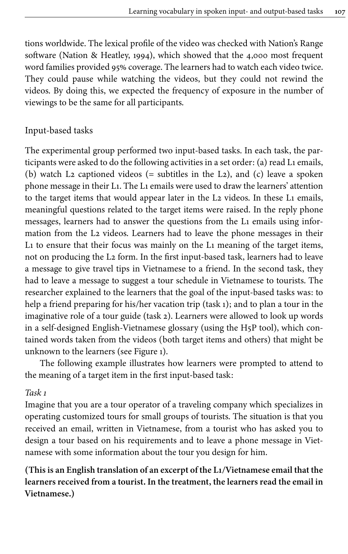tions worldwide. The lexical profile of the video was checked with Nation's Range software [\(Nation & Heatley, 1994\)](#page-22-12), which showed that the 4,000 most frequent word families provided 95% coverage. The learners had to watch each video twice. They could pause while watching the videos, but they could not rewind the videos. By doing this, we expected the frequency of exposure in the number of viewings to be the same for all participants.

# Input-based tasks

The experimental group performed two input-based tasks. In each task, the participants were asked to do the following activities in a set order: (a) read L1 emails, (b) watch L2 captioned videos (= subtitles in the L2), and (c) leave a spoken phone message in their L1. The L1 emails were used to draw the learners' attention to the target items that would appear later in the L2 videos. In these L1 emails, meaningful questions related to the target items were raised. In the reply phone messages, learners had to answer the questions from the L1 emails using information from the L2 videos. Learners had to leave the phone messages in their L1 to ensure that their focus was mainly on the L1 meaning of the target items, not on producing the L2 form. In the first input-based task, learners had to leave a message to give travel tips in Vietnamese to a friend. In the second task, they had to leave a message to suggest a tour schedule in Vietnamese to tourists. The researcher explained to the learners that the goal of the input-based tasks was: to help a friend preparing for his/her vacation trip (task 1); and to plan a tour in the imaginative role of a tour guide (task 2). Learners were allowed to look up words in a self-designed English-Vietnamese glossary (using the H5P tool), which contained words taken from the videos (both target items and others) that might be unknown to the learners (see [Figure](#page-8-0) 1).

The following example illustrates how learners were prompted to attend to the meaning of a target item in the first input-based task:

#### *Task 1*

Imagine that you are a tour operator of a traveling company which specializes in operating customized tours for small groups of tourists. The situation is that you received an email, written in Vietnamese, from a tourist who has asked you to design a tour based on his requirements and to leave a phone message in Vietnamese with some information about the tour you design for him.

**(This is an English translation of an excerpt of the L1/Vietnamese email that the learners received from a tourist. In the treatment, the learners read the email in Vietnamese.)**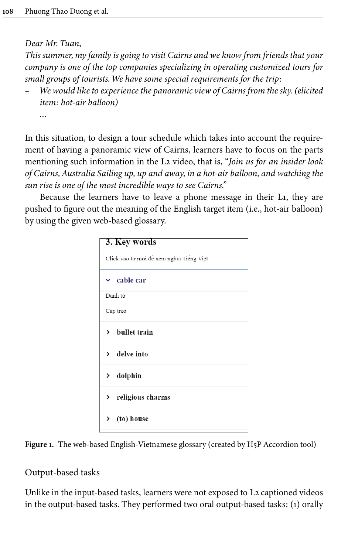*Dear Mr. Tuan*,

*This summer, my family is going to visit Cairns and we know from friends that your company is one of the top companies specializing in operating customized tours for small groups of tourists. We have some special requirements for the trip*:

– *We would like to experience the panoramic view of Cairns from the sky. (elicited item: hot-air balloon)*

*…*

In this situation, to design a tour schedule which takes into account the requirement of having a panoramic view of Cairns, learners have to focus on the parts mentioning such information in the L2 video, that is, "*Join us for an insider look of Cairns, Australia Sailing up, up and away, in a hot-air balloon, and watching the sun rise is one of the most incredible ways to see Cairns."*

<span id="page-8-0"></span>Because the learners have to leave a phone message in their L1, they are pushed to figure out the meaning of the English target item (i.e., hot-air balloon) by using the given web-based glossary.

| 3. Key words                             |
|------------------------------------------|
| Click vào từ mới để xem nghĩa Tiếng Việt |
| $\times$ cable car                       |
| Danh từ                                  |
| Cáp treo                                 |
| bullet train<br>$\mathbf{r}$             |
| $\angle$ delve into                      |
| dolphin<br>≻                             |
| > religious charms                       |
| $\angle$ (to) house                      |

**Figure 1.** The web-based English-Vietnamese glossary (created by H5P Accordion tool)

# Output-based tasks

Unlike in the input-based tasks, learners were not exposed to L2 captioned videos in the output-based tasks. They performed two oral output-based tasks: (1) orally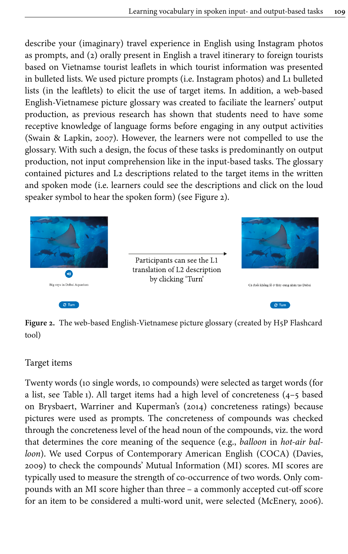describe your (imaginary) travel experience in English using Instagram photos as prompts, and (2) orally present in English a travel itinerary to foreign tourists based on Vietnamse tourist leaflets in which tourist information was presented in bulleted lists. We used picture prompts (i.e. Instagram photos) and L1 bulleted lists (in the leaftlets) to elicit the use of target items. In addition, a web-based English-Vietnamese picture glossary was created to faciliate the learners' output production, as previous research has shown that students need to have some receptive knowledge of language forms before engaging in any output activities [\(Swain & Lapkin, 2007\)](#page-23-12). However, the learners were not compelled to use the glossary. With such a design, the focus of these tasks is predominantly on output production, not input comprehension like in the input-based tasks. The glossary contained pictures and L2 descriptions related to the target items in the written and spoken mode (i.e. learners could see the descriptions and click on the loud speaker symbol to hear the spoken form) (see [Figure](#page-9-0) 2).

<span id="page-9-0"></span>

 $\mathcal{C}$  Turn

Participants can see the L1 translation of L2 description by clicking 'Turn'



Cá đuổi không lồ ở thủy cung nhân tạo Dubai

 $\mathcal{C}$  Turn

**Figure 2.** The web-based English-Vietnamese picture glossary (created by H5P Flashcard tool)

# Target items

Twenty words (10 single words, 10 compounds) were selected as target words (for a list, see [Table](#page-10-0) 1). All target items had a high level of concreteness (4–5 based on [Brysbaert, Warriner and Kuperman's \(2014\)](#page-21-9) concreteness ratings) because pictures were used as prompts. The concreteness of compounds was checked through the concreteness level of the head noun of the compounds, viz. the word that determines the core meaning of the sequence (e.g., *balloon* in *hot-air balloon*). We used Corpus of Contemporary American English (COCA) ([Davies,](#page-21-10) [2009](#page-21-10)) to check the compounds' Mutual Information (MI) scores. MI scores are typically used to measure the strength of co-occurrence of two words. Only compounds with an MI score higher than three – a commonly accepted cut-off score for an item to be considered a multi-word unit, were selected ([McEnery, 2006\)](#page-22-13).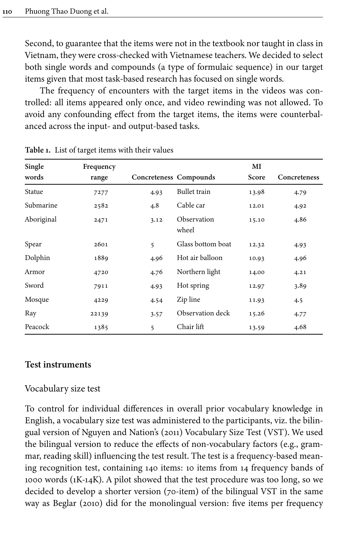Second, to guarantee that the items were not in the textbook nor taught in class in Vietnam, they were cross-checked with Vietnamese teachers. We decided to select both single words and compounds (a type of formulaic sequence) in our target items given that most task-based research has focused on single words.

The frequency of encounters with the target items in the videos was controlled: all items appeared only once, and video rewinding was not allowed. To avoid any confounding effect from the target items, the items were counterbalanced across the input- and output-based tasks.

| Single     | Frequency |                        |                      | MI    |              |
|------------|-----------|------------------------|----------------------|-------|--------------|
| words      | range     | Concreteness Compounds |                      | Score | Concreteness |
| Statue     | 7277      | 4.93                   | Bullet train         | 13.98 | 4.79         |
| Submarine  | 2582      | 4.8                    | Cable car            | 12.01 | 4.92         |
| Aboriginal | 2471      | 3.12                   | Observation<br>wheel | 15.10 | 4.86         |
| Spear      | 2601      | 5                      | Glass bottom boat    | 12.32 | 4.93         |
| Dolphin    | 1889      | 4.96                   | Hot air balloon      | 10.93 | 4.96         |
| Armor      | 4720      | 4.76                   | Northern light       | 14.00 | 4.21         |
| Sword      | 7911      | 4.93                   | Hot spring           | 12.97 | 3.89         |
| Mosque     | 4229      | 4.54                   | Zip line             | 11.93 | 4.5          |
| Ray        | 22139     | 3.57                   | Observation deck     | 15.26 | 4.77         |
| Peacock    | 1385      | 5                      | Chair lift           | 13.59 | 4.68         |

<span id="page-10-0"></span>

|  | Table 1. List of target items with their values |  |  |
|--|-------------------------------------------------|--|--|
|--|-------------------------------------------------|--|--|

#### **Test instruments**

#### Vocabulary size test

To control for individual differences in overall prior vocabulary knowledge in English, a vocabulary size test was administered to the participants, viz. the bilingual version of [Nguyen and Nation's \(2011\)](#page-22-14) Vocabulary Size Test (VST). We used the bilingual version to reduce the effects of non-vocabulary factors (e.g., grammar, reading skill) influencing the test result. The test is a frequency-based meaning recognition test, containing 140 items: 10 items from 14 frequency bands of 1000 words (1K-14K). A pilot showed that the test procedure was too long, so we decided to develop a shorter version (70-item) of the bilingual VST in the same way as [Beglar \(2010\)](#page-21-11) did for the monolingual version: five items per frequency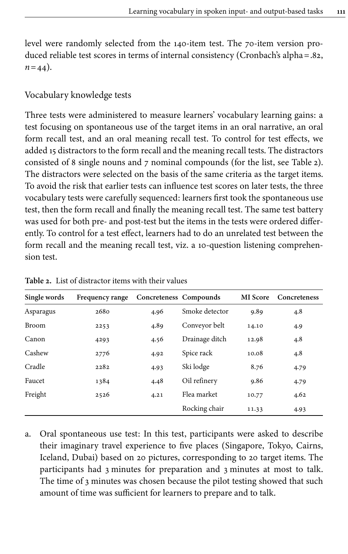level were randomly selected from the 140-item test. The 70-item version produced reliable test scores in terms of internal consistency (Cronbach's alpha=.82,  $n = 44$ ).

# Vocabulary knowledge tests

Three tests were administered to measure learners' vocabulary learning gains: a test focusing on spontaneous use of the target items in an oral narrative, an oral form recall test, and an oral meaning recall test. To control for test effects, we added 15 distractors to the form recall and the meaning recall tests. The distractors consisted of 8 single nouns and 7 nominal compounds (for the list, see [Table](#page-11-0) 2). The distractors were selected on the basis of the same criteria as the target items. To avoid the risk that earlier tests can influence test scores on later tests, the three vocabulary tests were carefully sequenced: learners first took the spontaneous use test, then the form recall and finally the meaning recall test. The same test battery was used for both pre- and post-test but the items in the tests were ordered differently. To control for a test effect, learners had to do an unrelated test between the form recall and the meaning recall test, viz. a 10-question listening comprehension test.

| Single words | Frequency range | Concreteness Compounds |                | <b>MI</b> Score | Concreteness |
|--------------|-----------------|------------------------|----------------|-----------------|--------------|
| Asparagus    | 2680            | 4.96                   | Smoke detector | 9.89            | 4.8          |
| <b>Broom</b> | 2253            | 4.89                   | Conveyor belt  | 14.10           | 4.9          |
| Canon        | 4293            | 4.56                   | Drainage ditch | 12.98           | 4.8          |
| Cashew       | 2776            | 4.92                   | Spice rack     | 10.08           | 4.8          |
| Cradle       | 2282            | 4.93                   | Ski lodge      | 8.76            | 4.79         |
| Faucet       | 1384            | 4.48                   | Oil refinery   | 9.86            | 4.79         |
| Freight      | 2526            | 4.21                   | Flea market    | 10.77           | 4.62         |
|              |                 |                        | Rocking chair  | 11.33           | 4.93         |

<span id="page-11-0"></span>**Table 2.** List of distractor items with their values

a. Oral spontaneous use test: In this test, participants were asked to describe their imaginary travel experience to five places (Singapore, Tokyo, Cairns, Iceland, Dubai) based on 20 pictures, corresponding to 20 target items. The participants had 3 minutes for preparation and 3 minutes at most to talk. The time of 3 minutes was chosen because the pilot testing showed that such amount of time was sufficient for learners to prepare and to talk.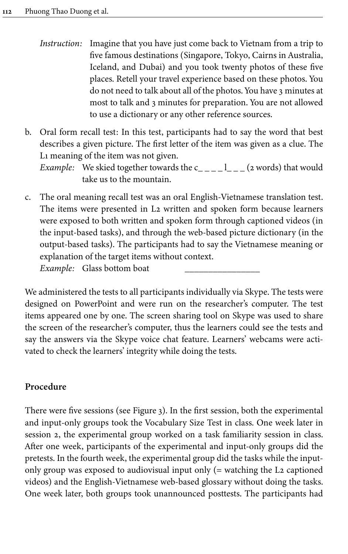- *Instruction:* Imagine that you have just come back to Vietnam from a trip to five famous destinations (Singapore, Tokyo, Cairns in Australia, Iceland, and Dubai) and you took twenty photos of these five places. Retell your travel experience based on these photos. You do not need to talk about all of the photos. You have 3 minutes at most to talk and 3 minutes for preparation. You are not allowed to use a dictionary or any other reference sources.
- b. Oral form recall test: In this test, participants had to say the word that best describes a given picture. The first letter of the item was given as a clue. The L1 meaning of the item was not given.

*Example:* We skied together towards the  $c_{---}$   $l_{---}$  (2 words) that would take us to the mountain.

c. The oral meaning recall test was an oral English-Vietnamese translation test. The items were presented in L2 written and spoken form because learners were exposed to both written and spoken form through captioned videos (in the input-based tasks), and through the web-based picture dictionary (in the output-based tasks). The participants had to say the Vietnamese meaning or explanation of the target items without context. *Example:* Glass bottom boat

We administered the tests to all participants individually via Skype. The tests were designed on PowerPoint and were run on the researcher's computer. The test items appeared one by one. The screen sharing tool on Skype was used to share the screen of the researcher's computer, thus the learners could see the tests and say the answers via the Skype voice chat feature. Learners' webcams were activated to check the learners' integrity while doing the tests.

# **Procedure**

There were five sessions (see [Figure](#page-13-0) 3). In the first session, both the experimental and input-only groups took the Vocabulary Size Test in class. One week later in session 2, the experimental group worked on a task familiarity session in class. After one week, participants of the experimental and input-only groups did the pretests. In the fourth week, the experimental group did the tasks while the inputonly group was exposed to audiovisual input only (= watching the L2 captioned videos) and the English-Vietnamese web-based glossary without doing the tasks. One week later, both groups took unannounced posttests. The participants had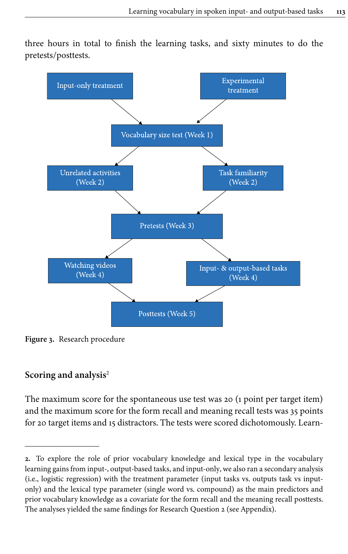<span id="page-13-0"></span>three hours in total to finish the learning tasks, and sixty minutes to do the pretests/posttests.



**Figure 3.** Research procedure

# **Scoring and analysis**<sup>2</sup>

The maximum score for the spontaneous use test was 20 (1 point per target item) and the maximum score for the form recall and meaning recall tests was 35 points for 20 target items and 15 distractors. The tests were scored dichotomously. Learn-

**<sup>2.</sup>** To explore the role of prior vocabulary knowledge and lexical type in the vocabulary learning gains from input-, output-based tasks, and input-only, we also ran a secondary analysis (i.e., logistic regression) with the treatment parameter (input tasks vs. outputs task vs inputonly) and the lexical type parameter (single word vs. compound) as the main predictors and prior vocabulary knowledge as a covariate for the form recall and the meaning recall posttests. The analyses yielded the same findings for Research Question 2 (see [Appendix\)](#page-23-13).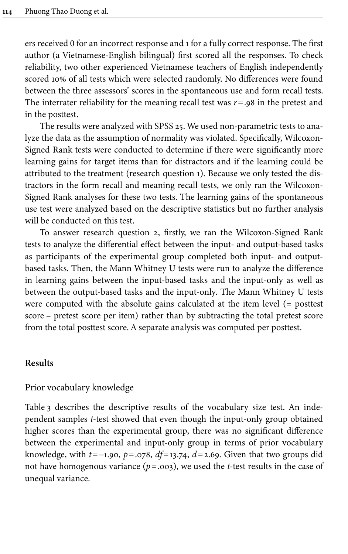ers received 0 for an incorrect response and 1 for a fully correct response. The first author (a Vietnamese-English bilingual) first scored all the responses. To check reliability, two other experienced Vietnamese teachers of English independently scored 10% of all tests which were selected randomly. No differences were found between the three assessors' scores in the spontaneous use and form recall tests. The interrater reliability for the meaning recall test was *r*=.98 in the pretest and in the posttest.

The results were analyzed with SPSS 25. We used non-parametric tests to analyze the data as the assumption of normality was violated. Specifically, Wilcoxon-Signed Rank tests were conducted to determine if there were significantly more learning gains for target items than for distractors and if the learning could be attributed to the treatment (research question 1). Because we only tested the distractors in the form recall and meaning recall tests, we only ran the Wilcoxon-Signed Rank analyses for these two tests. The learning gains of the spontaneous use test were analyzed based on the descriptive statistics but no further analysis will be conducted on this test.

To answer research question 2, firstly, we ran the Wilcoxon-Signed Rank tests to analyze the differential effect between the input- and output-based tasks as participants of the experimental group completed both input- and outputbased tasks. Then, the Mann Whitney U tests were run to analyze the difference in learning gains between the input-based tasks and the input-only as well as between the output-based tasks and the input-only. The Mann Whitney U tests were computed with the absolute gains calculated at the item level (= posttest score – pretest score per item) rather than by subtracting the total pretest score from the total posttest score. A separate analysis was computed per posttest.

#### **Results**

#### Prior vocabulary knowledge

[Table](#page-15-0) 3 describes the descriptive results of the vocabulary size test. An independent samples *t*-test showed that even though the input-only group obtained higher scores than the experimental group, there was no significant difference between the experimental and input-only group in terms of prior vocabulary knowledge, with *t*=−1.90, *p*=.078, *df*=13.74, *d*=2.69. Given that two groups did not have homogenous variance (*p*=.003), we used the *t*-test results in the case of unequal variance.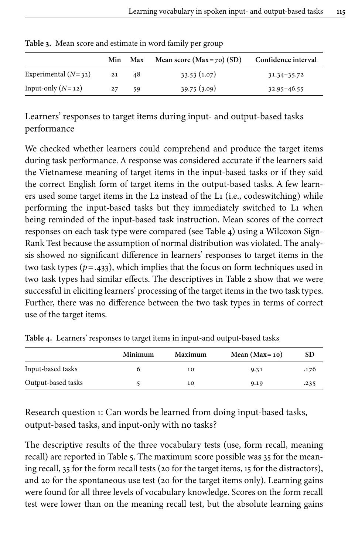|                       |     |     | $\sqrt{1}$                   |                     |
|-----------------------|-----|-----|------------------------------|---------------------|
|                       | Min | Max | Mean score ( $Max=70$ ) (SD) | Confidence interval |
| Experimental $(N=32)$ | 21  | 48  | 33.53(1.07)                  | $31.34 - 35.72$     |
| Input-only $(N=12)$   | 27  | 59  | 39.75(3.09)                  | $32.95 - 46.55$     |

<span id="page-15-0"></span>**Table 3.** Mean score and estimate in word family per group

Learners' responses to target items during input- and output-based tasks performance

We checked whether learners could comprehend and produce the target items during task performance. A response was considered accurate if the learners said the Vietnamese meaning of target items in the input-based tasks or if they said the correct English form of target items in the output-based tasks. A few learners used some target items in the L2 instead of the L1 (i.e., codeswitching) while performing the input-based tasks but they immediately switched to L1 when being reminded of the input-based task instruction. Mean scores of the correct responses on each task type were compared (see [Table](#page-15-1) 4) using a Wilcoxon Sign-Rank Test because the assumption of normal distribution was violated. The analysis showed no significant difference in learners' responses to target items in the two task types (*p*=.433), which implies that the focus on form techniques used in two task types had similar effects. The descriptives in [Table](#page-11-0) 2 show that we were successful in eliciting learners' processing of the target items in the two task types. Further, there was no difference between the two task types in terms of correct use of the target items.

|                    | Minimum | Maximum | Mean $(Max=10)$ | SD   |
|--------------------|---------|---------|-----------------|------|
| Input-based tasks  |         | 10      | 9.31            | .176 |
| Output-based tasks |         | 10      | 9.19            | .235 |

<span id="page-15-1"></span>**Table 4.** Learners' responses to target items in input-and output-based tasks

Research question 1: Can words be learned from doing input-based tasks, output-based tasks, and input-only with no tasks?

The descriptive results of the three vocabulary tests (use, form recall, meaning recall) are reported in [Table](#page-16-0) 5. The maximum score possible was 35 for the meaning recall, 35 for the form recall tests (20 for the target items, 15 for the distractors), and 20 for the spontaneous use test (20 for the target items only). Learning gains were found for all three levels of vocabulary knowledge. Scores on the form recall test were lower than on the meaning recall test, but the absolute learning gains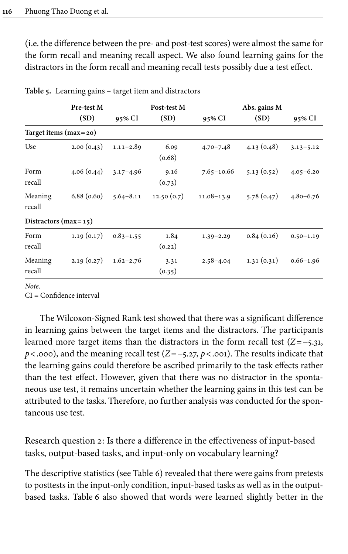(i.e. the difference between the pre- and post-test scores) were almost the same for the form recall and meaning recall aspect. We also found learning gains for the distractors in the form recall and meaning recall tests possibly due a test effect.

|                           | Pre-test M |               | Post-test M    |                | Abs. gains M |               |
|---------------------------|------------|---------------|----------------|----------------|--------------|---------------|
|                           | (SD)       | 95% CI        | (SD)           | 95% CI         | (SD)         | 95% CI        |
| Target items $(max = 20)$ |            |               |                |                |              |               |
| Use                       | 2.00(0.43) | $1.11 - 2.89$ | 6.09<br>(0.68) | $4.70 - 7.48$  | 4.13(0.48)   | $3.13 - 5.12$ |
| Form<br>recall            | 4.06(0.44) | $3.17 - 4.96$ | 9.16<br>(0.73) | $7.65 - 10.66$ | 5.13(0.52)   | $4.05 - 6.20$ |
| Meaning<br>recall         | 6.88(0.60) | $5.64 - 8.11$ | 12.50(0.7)     | $11.08 - 13.9$ | 5.78(0.47)   | $4.80 - 6.76$ |
| Distractors ( $max=15$ )  |            |               |                |                |              |               |
| Form<br>recall            | 1.19(0.17) | $0.83 - 1.55$ | 1.84<br>(0.22) | $1.39 - 2.29$  | 0.84(0.16)   | $0.50 - 1.19$ |
| Meaning<br>recall         | 2.19(0.27) | $1.62 - 2.76$ | 3.31<br>(0.35) | $2.58 - 4.04$  | 1.31(0.31)   | $0.66 - 1.96$ |

<span id="page-16-0"></span>**Table 5.** Learning gains – target item and distractors

*Note*.

CI = Confidence interval

The Wilcoxon-Signed Rank test showed that there was a significant difference in learning gains between the target items and the distractors. The participants learned more target items than the distractors in the form recall test (*Z*=−5.31, *p*<.000), and the meaning recall test (*Z* = −5.27, *p* <.001). The results indicate that the learning gains could therefore be ascribed primarily to the task effects rather than the test effect. However, given that there was no distractor in the spontaneous use test, it remains uncertain whether the learning gains in this test can be attributed to the tasks. Therefore, no further analysis was conducted for the spontaneous use test.

Research question 2: Is there a difference in the effectiveness of input-based tasks, output-based tasks, and input-only on vocabulary learning?

The descriptive statistics (see [Table](#page-18-0) 6) revealed that there were gains from pretests to posttests in the input-only condition, input-based tasks as well as in the outputbased tasks. [Table](#page-18-0) 6 also showed that words were learned slightly better in the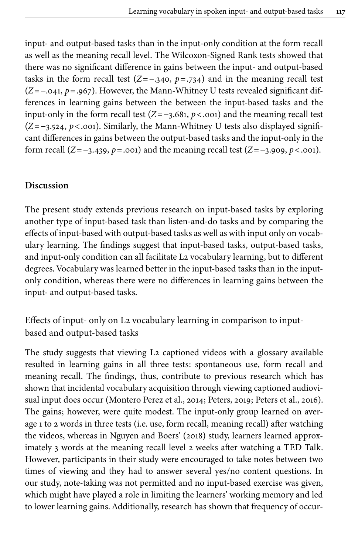input- and output-based tasks than in the input-only condition at the form recall as well as the meaning recall level. The Wilcoxon-Signed Rank tests showed that there was no significant difference in gains between the input- and output-based tasks in the form recall test  $(Z=-340, p=.734)$  and in the meaning recall test (*Z*=−.041, *p*=.967). However, the Mann-Whitney U tests revealed significant differences in learning gains between the between the input-based tasks and the input-only in the form recall test (*Z*=−3.681, *p*<.001) and the meaning recall test (*Z*=−3.524, *p*<.001). Similarly, the Mann-Whitney U tests also displayed significant differences in gains between the output-based tasks and the input-only in the form recall (*Z*=−3.439, *p*=.001) and the meaning recall test (*Z*=−3.909, *p*<.001).

## **Discussion**

The present study extends previous research on input-based tasks by exploring another type of input-based task than listen-and-do tasks and by comparing the effects of input-based with output-based tasks as well as with input only on vocabulary learning. The findings suggest that input-based tasks, output-based tasks, and input-only condition can all facilitate L2 vocabulary learning, but to different degrees. Vocabulary was learned better in the input-based tasks than in the inputonly condition, whereas there were no differences in learning gains between the input- and output-based tasks.

Effects of input- only on L2 vocabulary learning in comparison to inputbased and output-based tasks

The study suggests that viewing L2 captioned videos with a glossary available resulted in learning gains in all three tests: spontaneous use, form recall and meaning recall. The findings, thus, contribute to previous research which has shown that incidental vocabulary acquisition through viewing captioned audiovisual input does occur [\(Montero Perez et](#page-22-11) al., 2014; [Peters, 2019](#page-22-15); [Peters et](#page-22-16) al., 2016). The gains; however, were quite modest. The input-only group learned on average 1 to 2 words in three tests (i.e. use, form recall, meaning recall) after watching the videos, whereas in [Nguyen and Boers' \(2018\)](#page-22-7) study, learners learned approximately 3 words at the meaning recall level 2 weeks after watching a TED Talk. However, participants in their study were encouraged to take notes between two times of viewing and they had to answer several yes/no content questions. In our study, note-taking was not permitted and no input-based exercise was given, which might have played a role in limiting the learners' working memory and led to lower learning gains. Additionally, research has shown that frequency of occur-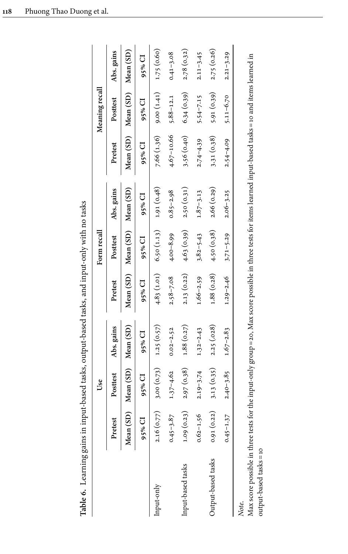<span id="page-18-0"></span>

|                                                                                                                                                                           |               | Use                           |                          |               | Form recall                            |               |                | Meaning recall                         |               |
|---------------------------------------------------------------------------------------------------------------------------------------------------------------------------|---------------|-------------------------------|--------------------------|---------------|----------------------------------------|---------------|----------------|----------------------------------------|---------------|
|                                                                                                                                                                           | Pretest       | Posttest                      | Abs. gains               | Pretest       | Posttest                               | Abs. gains    | Pretest        | Posttest                               | Abs. gains    |
|                                                                                                                                                                           |               | Mean (SD) Mean (SD) Mean (SD) |                          |               | Mean (SD) Mean (SD) Mean (SD)          |               |                | Mean (SD) Mean (SD) Mean (SD)          |               |
|                                                                                                                                                                           | 95% CI        | 95% CI                        | 95% CI                   | 95% CI        | 95% CI                                 | 95% CI        | 95% CI         | 95% CI                                 | 95% CI        |
| nput-only                                                                                                                                                                 | 2.16(0.77)    |                               | $3.00(0.73)$ 1.25 (0.57) |               | $4.83(1.01)$ $6.50(1.13)$ $1.91(0.48)$ |               |                | $7.66(1.36)$ $9.00(1.41)$ $1.75(0.60)$ |               |
|                                                                                                                                                                           | $0.45 - 3.87$ | $1.37 - 4.62$                 | $0.02 - 2.52$            | $2.58 - 7.08$ | $4.00 - 8.99$                          | $0.85 - 2.98$ | $4.67 - 10.66$ | $5.88 - 12.1$                          | $0.41 - 3.08$ |
| Input-based tasks                                                                                                                                                         | 1.09(0.23)    | 2.97(0.38)                    | 1.88(0.27)               | 2.13(0.22)    | 4.63(0.39)                             | 2.50(0.31)    | 3.56(0.40)     | 6.34(0.39)                             | 2.78(0.32)    |
|                                                                                                                                                                           | $0.62 - 1.56$ | $2.19 - 3.74$                 | $1.32 - 2.43$            | $1.66 - 2.59$ | $3.82 - 5.43$                          | $1.87 - 3.13$ | $2.74 - 4.39$  | $5.54 - 7.15$                          | $2.11 - 3.45$ |
| Jutput-based tasks                                                                                                                                                        | 0.91(0.22)    | 3.13(0.35)                    | 2.25(.028)               |               | $1.88(0.28)$ $4.50(0.38)$              | 2.66 (0.29)   | 3.31(0.38)     | 5.91 (0.39)                            | 2.75(0.26)    |
|                                                                                                                                                                           | $0.45 - 1.37$ | $2.40 - 3.85$                 | $1.67 - 2.83$            | $1.29 - 2.46$ | $3.71 - 5.29$                          | $2.06 - 3.25$ | $2.54 - 4.09$  | $5.11 - 6.70$                          | $2.21 - 3.29$ |
| Max score possible in three tests for the input-only group = 20. Max score possible in three tests for items learned input-based tasks = 10 and items learned in<br>Note. |               |                               |                          |               |                                        |               |                |                                        |               |

Table 6. Learning gains in input-based tasks, output-based tasks, and input-only with no tasks **Table 6.** Learning gains in input-based tasks, output-based tasks, and input-only with no tasks Max score possible in three tests for the input-only group=20, Max score possible in three tests for items learned input-based tasks=10 and items learned in .<br>H .<br>4 H  $\frac{a}{c}$ Ļ nteresting the series of the series of the series of the series of the series of the series of the series of the series of the series of the series of the series of the series of the series of the series of the series of t output-based tasks=10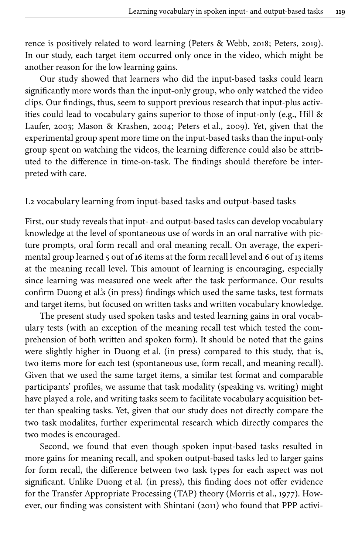rence is positively related to word learning [\(Peters & Webb, 2018;](#page-22-10) [Peters, 2019\)](#page-22-15). In our study, each target item occurred only once in the video, which might be another reason for the low learning gains.

Our study showed that learners who did the input-based tasks could learn significantly more words than the input-only group, who only watched the video clips. Our findings, thus, seem to support previous research that input-plus activities could lead to vocabulary gains superior to those of input-only (e.g., [Hill &](#page-21-4) [Laufer, 2003](#page-21-4); [Mason & Krashen, 2004](#page-22-1); Peters et [al., 2009\)](#page-22-3). Yet, given that the experimental group spent more time on the input-based tasks than the input-only group spent on watching the videos, the learning difference could also be attributed to the difference in time-on-task. The findings should therefore be interpreted with care.

L2 vocabulary learning from input-based tasks and output-based tasks

First, our study reveals that input- and output-based tasks can develop vocabulary knowledge at the level of spontaneous use of words in an oral narrative with picture prompts, oral form recall and oral meaning recall. On average, the experimental group learned 5 out of 16 items at the form recall level and 6 out of 13 items at the meaning recall level. This amount of learning is encouraging, especially since learning was measured one week after the task performance. Our results confirm Duong et [al.'s \(in press\)](#page-21-2) findings which used the same tasks, test formats and target items, but focused on written tasks and written vocabulary knowledge.

The present study used spoken tasks and tested learning gains in oral vocabulary tests (with an exception of the meaning recall test which tested the comprehension of both written and spoken form). It should be noted that the gains were slightly higher in Duong et [al. \(in press\)](#page-21-2) compared to this study, that is, two items more for each test (spontaneous use, form recall, and meaning recall). Given that we used the same target items, a similar test format and comparable participants' profiles, we assume that task modality (speaking vs. writing) might have played a role, and writing tasks seem to facilitate vocabulary acquisition better than speaking tasks. Yet, given that our study does not directly compare the two task modalites, further experimental research which directly compares the two modes is encouraged.

Second, we found that even though spoken input-based tasks resulted in more gains for meaning recall, and spoken output-based tasks led to larger gains for form recall, the difference between two task types for each aspect was not significant. Unlike Duong et [al. \(in press\)](#page-21-2), this finding does not offer evidence for the Transfer Appropriate Processing (TAP) theory ([Morris et](#page-22-8) al., 1977). However, our finding was consistent with [Shintani \(2011\)](#page-23-1) who found that PPP activi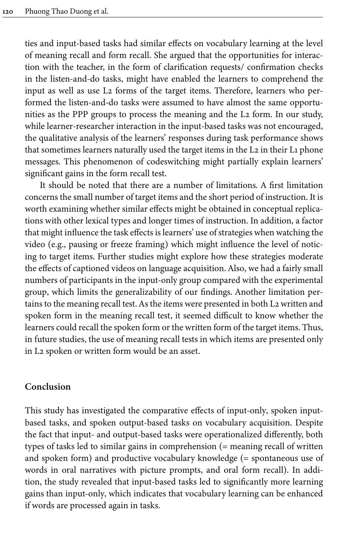ties and input-based tasks had similar effects on vocabulary learning at the level of meaning recall and form recall. She argued that the opportunities for interaction with the teacher, in the form of clarification requests/ confirmation checks in the listen-and-do tasks, might have enabled the learners to comprehend the input as well as use L2 forms of the target items. Therefore, learners who performed the listen-and-do tasks were assumed to have almost the same opportunities as the PPP groups to process the meaning and the L2 form. In our study, while learner-researcher interaction in the input-based tasks was not encouraged, the qualitative analysis of the learners' responses during task performance shows that sometimes learners naturally used the target items in the L2 in their L1 phone messages. This phenomenon of codeswitching might partially explain learners' significant gains in the form recall test.

It should be noted that there are a number of limitations. A first limitation concerns the small number of target items and the short period of instruction. It is worth examining whether similar effects might be obtained in conceptual replications with other lexical types and longer times of instruction. In addition, a factor that might influence the task effects is learners' use of strategies when watching the video (e.g., pausing or freeze framing) which might influence the level of noticing to target items. Further studies might explore how these strategies moderate the effects of captioned videos on language acquisition. Also, we had a fairly small numbers of participants in the input-only group compared with the experimental group, which limits the generalizability of our findings. Another limitation pertains to the meaning recall test. As the items were presented in both L2 written and spoken form in the meaning recall test, it seemed difficult to know whether the learners could recall the spoken form or the written form of the target items. Thus, in future studies, the use of meaning recall tests in which items are presented only in L2 spoken or written form would be an asset.

#### **Conclusion**

This study has investigated the comparative effects of input-only, spoken inputbased tasks, and spoken output-based tasks on vocabulary acquisition. Despite the fact that input- and output-based tasks were operationalized differently, both types of tasks led to similar gains in comprehension (= meaning recall of written and spoken form) and productive vocabulary knowledge (= spontaneous use of words in oral narratives with picture prompts, and oral form recall). In addition, the study revealed that input-based tasks led to significantly more learning gains than input-only, which indicates that vocabulary learning can be enhanced if words are processed again in tasks.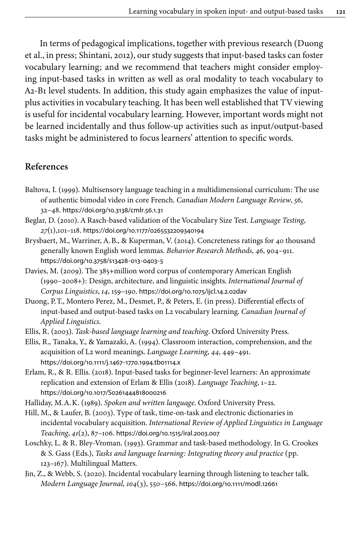In terms of pedagogical implications, together with previous research [\(Duong](#page-21-2) et [al., in press;](#page-21-2) [Shintani, 2012](#page-23-0)), our study suggests that input-based tasks can foster vocabulary learning; and we recommend that teachers might consider employing input-based tasks in written as well as oral modality to teach vocabulary to A2-B1 level students. In addition, this study again emphasizes the value of inputplus activities in vocabulary teaching. It has been well established that TV viewing is useful for incidental vocabulary learning. However, important words might not be learned incidentally and thus follow-up activities such as input/output-based tasks might be administered to focus learners' attention to specific words.

## **References**

- <span id="page-21-8"></span>Baltova, I. (1999). Multisensory language teaching in a multidimensional curriculum: The use of authentic bimodal video in core French. *Canadian Modern Language Review*, *56*, 32–48. [https://doi.org/10.3138/cmlr.56.1.31](https://doi.org/10.3138%2Fcmlr.56.1.31)
- <span id="page-21-11"></span>Beglar, D. (2010). A Rasch-based validation of the Vocabulary Size Test. *Language Testing*, *27*(1),101–118. [https://doi.org/10.1177/0265532209340194](https://doi.org/10.1177%2F0265532209340194)
- <span id="page-21-9"></span>Brysbaert, M., Warriner, A.B., & Kuperman, V. (2014). Concreteness ratings for 40 thousand generally known English word lemmas. *Behavior Research Methods*, *46*, 904–911. [https://doi.org/10.3758/s13428](https://doi.org/10.3758%2Fs13428-013-0403-5)‑013‑0403‑5
- <span id="page-21-10"></span>Davies, M. (2009). The 385+million word corpus of contemporary American English (1990–2008+): Design, architecture, and linguistic insights. *International Journal of Corpus Linguistics*, *14*, 159–190. [https://doi.org/10.1075/ijcl.14.2.02dav](https://doi.org/10.1075%2Fijcl.14.2.02dav)
- <span id="page-21-2"></span>Duong, P.T., Montero Perez, M., Desmet, P., & Peters, E. (in press). Differential effects of input-based and output-based tasks on L2 vocabulary learning. *Canadian Journal of Applied Linguistics*.
- <span id="page-21-5"></span>Ellis, R. (2003). *Task-based language learning and teaching*. Oxford University Press.
- <span id="page-21-0"></span>Ellis, R., Tanaka, Y., & Yamazaki, A. (1994). Classroom interaction, comprehension, and the acquisition of L2 word meanings. *Language Learning*, *44*, 449–491. [https://doi.org/10.1111/j.1467](https://doi.org/10.1111%2Fj.1467-1770.1994.tb01114.x)‑1770.1994.tb01114.x
- <span id="page-21-1"></span>Erlam, R., & R. Ellis. (2018). Input-based tasks for beginner-level learners: An approximate replication and extension of Erlam & Ellis (2018). *Language Teaching*, 1–22. [https://doi.org/10.1017/S0261444818000216](https://doi.org/10.1017%2FS0261444818000216)
- <span id="page-21-3"></span>Halliday, M.A.K. (1989). *Spoken and written language*. Oxford University Press.
- <span id="page-21-4"></span>Hill, M., & Laufer, B. (2003). Type of task, time-on-task and electronic dictionaries in incidental vocabulary acquisition. *International Review of Applied Linguistics in Language Teaching*, *41*(2), 87–106. [https://doi.org/10.1515/iral.2003.007](https://doi.org/10.1515%2Firal.2003.007)
- <span id="page-21-7"></span>Loschky, L. & R. Bley-Vroman. (1993). Grammar and task-based methodology. In G. Crookes & S. Gass (Eds.), *Tasks and language learning: Integrating theory and practice* (pp. 123–167). Multilingual Matters.
- <span id="page-21-6"></span>Jin, Z., & Webb, S. (2020). Incidental vocabulary learning through listening to teacher talk. *Modern Language Journal*, *104*(3), 550–566. [https://doi.org/10.1111/modl.12661](https://doi.org/10.1111%2Fmodl.12661)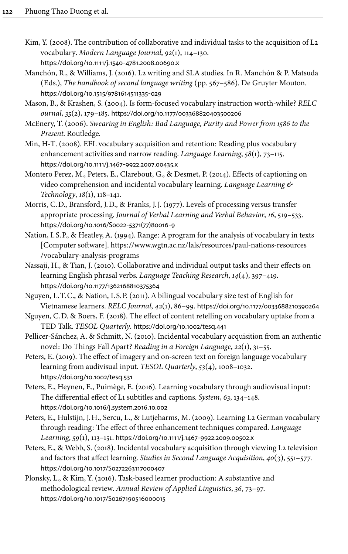- <span id="page-22-5"></span>Kim, Y. (2008). The contribution of collaborative and individual tasks to the acquisition of L2 vocabulary. *Modern Language Journal*, *92*(1), 114–130. [https://doi.org/10.1111/j.1540](https://doi.org/10.1111%2Fj.1540-4781.2008.00690.x)‑4781.2008.00690.x
- <span id="page-22-0"></span>Manchón, R., & Williams, J. (2016). L2 writing and SLA studies. In R. Manchón & P. Matsuda (Eds.), *The handbook of second language writing* (pp. 567–586). De Gruyter Mouton. [https://doi.org/10.1515/9781614511335](https://doi.org/10.1515%2F9781614511335-029)‑029
- <span id="page-22-1"></span>Mason, B., & Krashen, S. (2004). Is form-focused vocabulary instruction worth-while? *RELC ournal*, *35*(2), 179–185. [https://doi.org/10.1177/003368820403500206](https://doi.org/10.1177%2F003368820403500206)
- <span id="page-22-13"></span>McEnery, T. (2006). *Swearing in English: Bad Language, Purity and Power from 1586 to the Present*. Routledge.
- <span id="page-22-2"></span>Min, H-T. (2008). EFL vocabulary acquisition and retention: Reading plus vocabulary enhancement activities and narrow reading. *Language Learning*, *58*(1), 73–115. [https://doi.org/10.1111/j.1467](https://doi.org/10.1111%2Fj.1467-9922.2007.00435.x)‑9922.2007.00435.x
- <span id="page-22-11"></span>Montero Perez, M., Peters, E., Clarebout, G., & Desmet, P. (2014). Effects of captioning on video comprehension and incidental vocabulary learning. *Language Learning & Technology*, *18*(1), 118–141.
- <span id="page-22-8"></span>Morris, C.D., Bransford, J.D., & Franks, J.J. (1977). Levels of processing versus transfer appropriate processing. *Journal of Verbal Learning and Verbal Behavior*, *16*, 519–533. [https://doi.org/10.1016/S0022](https://doi.org/10.1016%2FS0022-5371%2877%2980016-9)‑5371(77)80016‑9
- <span id="page-22-12"></span>Nation, I.S.P., & Heatley, A. (1994). Range: A program for the analysis of vocabulary in texts [Computer software]. [https://www.wgtn.ac.nz/lals/resources/paul-nations-resources](https://www.wgtn.ac.nz/lals/resources/paul-nations-resources/vocabulary-analysis-programs) [/vocabulary-analysis-programs](https://www.wgtn.ac.nz/lals/resources/paul-nations-resources/vocabulary-analysis-programs)
- <span id="page-22-6"></span>Nassaji, H., & Tian, J. (2010). Collaborative and individual output tasks and their effects on learning English phrasal verbs. *Language Teaching Research*, *14*(4), 397–419. [https://doi.org/10.1177/1362168810375364](https://doi.org/10.1177%2F1362168810375364)
- <span id="page-22-14"></span>Nguyen, L.T.C., & Nation, I.S.P. (2011). A bilingual vocabulary size test of English for Vietnamese learners. *RELC Journal*, *42*(1), 86–99. [https://doi.org/10.1177/0033688210390264](https://doi.org/10.1177%2F0033688210390264)
- <span id="page-22-7"></span>Nguyen, C.D. & Boers, F. (2018). The effect of content retelling on vocabulary uptake from a TED Talk. *TESOL Quarterly*. [https://doi.org/10.1002/tesq.441](https://doi.org/10.1002%2Ftesq.441)
- <span id="page-22-9"></span>Pellicer-Sánchez, A. & Schmitt, N. (2010). Incidental vocabulary acquisition from an authentic novel: Do Things Fall Apart? *Reading in a Foreign Language*, *22*(1), 31–55.
- <span id="page-22-15"></span>Peters, E. (2019). The effect of imagery and on-screen text on foreign language vocabulary learning from audivisual input. *TESOL Quarterly*, *53*(4), 1008–1032. [https://doi.org/10.1002/tesq.531](https://doi.org/10.1002%2Ftesq.531)
- <span id="page-22-16"></span>Peters, E., Heynen, E., Puimège, E. (2016). Learning vocabulary through audiovisual input: The differential effect of L1 subtitles and captions. *System*, *63*, 134–148. [https://doi.org/10.1016/j.system.2016.10.002](https://doi.org/10.1016%2Fj.system.2016.10.002)
- <span id="page-22-3"></span>Peters, E., Hulstijn, J.H., Sercu, L., & Lutjeharms, M. (2009). Learning L2 German vocabulary through reading: The effect of three enhancement techniques compared. *Language Learning*, *59*(1), 113–151. [https://doi.org/10.1111/j.1467](https://doi.org/10.1111%2Fj.1467-9922.2009.00502.x)‑9922.2009.00502.x
- <span id="page-22-10"></span>Peters, E., & Webb, S. (2018). Incidental vocabulary acquisition through viewing L2 television and factors that affect learning. *Studies in Second Language Acquisition*, *40*(3), 551–577. [https://doi.org/10.1017/S0272263117000407](https://doi.org/10.1017%2FS0272263117000407)
- <span id="page-22-4"></span>Plonsky, L., & Kim, Y. (2016). Task-based learner production: A substantive and methodological review. *Annual Review of Applied Linguistics*, *36*, 73–97. [https://doi.org/10.1017/S0267190516000015](https://doi.org/10.1017%2FS0267190516000015)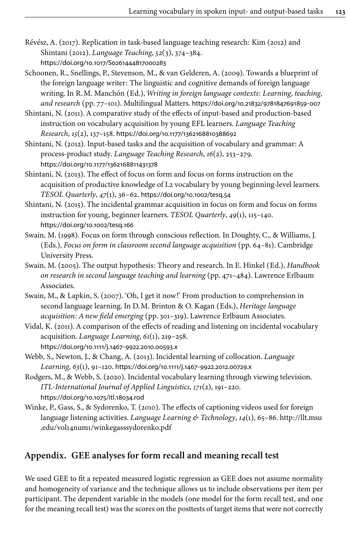- <span id="page-23-6"></span>Révész, A. (2017). Replication in task-based language teaching research: Kim (2012) and Shintani (2012). *Language Teaching*, *52*(3), 374–384. [https://doi.org/10.1017/S0261444817000283](https://doi.org/10.1017%2FS0261444817000283)
- <span id="page-23-7"></span>Schoonen, R., Snellings, P., Stevenson, M., & van Gelderen, A. (2009). Towards a blueprint of the foreign language writer: The linguistic and cognitive demands of foreign language writing. In R.M. Manchón (Ed.), *Writing in foreign language contexts: Learning, teaching, and research* (pp. 77–101). Multilingual Matters. [https://doi.org/10.21832/9781847691859](https://doi.org/10.21832%2F9781847691859-007)‑007
- <span id="page-23-1"></span>Shintani, N. (2011). A comparative study of the effects of input-based and production-based instruction on vocabulary acquisition by young EFL learners. *Language Teaching Research*, *15*(2), 137–158. [https://doi.org/10.1177/1362168810388692](https://doi.org/10.1177%2F1362168810388692)
- <span id="page-23-0"></span>Shintani, N. (2012). Input-based tasks and the acquisition of vocabulary and grammar: A process-product study. *Language Teaching Research*, *16*(2), 253–279. [https://doi.org/10.1177/1362168811431378](https://doi.org/10.1177%2F1362168811431378)
- <span id="page-23-2"></span>Shintani, N. (2013). The effect of focus on form and focus on forms instruction on the acquisition of productive knowledge of L2 vocabulary by young beginning-level learners. *TESOL Quarterly*, *47*(1), 36–62. [https://doi.org/10.1002/tesq.54](https://doi.org/10.1002%2Ftesq.54)
- <span id="page-23-3"></span>Shintani, N. (2015). The incidental grammar acquisition in focus on form and focus on forms instruction for young, beginner learners. *TESOL Quarterly*, *49*(1), 115–140. [https://doi.org/10.1002/tesq.166](https://doi.org/10.1002%2Ftesq.166)
- <span id="page-23-4"></span>Swain, M. (1998). Focus on form through conscious reflection. In Doughty, C., & Williams, J. (Eds.), *Focus on form in classroom second language acquisition* (pp. 64–81). Cambridge University Press.
- <span id="page-23-5"></span>Swain, M. (2005). The output hypothesis: Theory and research. In E. Hinkel (Ed.), *Handbook on research in second language teaching and learning* (pp. 471–484). Lawrence Erlbaum Associates.
- <span id="page-23-12"></span>Swain, M., & Lapkin, S. (2007). 'Oh, I get it now!' From production to comprehension in second language learning. In D.M. Brinton & O. Kagan (Eds.), *Heritage language acquisition: A new field emerging* (pp. 301–319). Lawrence Erlbaum Associates.
- <span id="page-23-9"></span>Vidal, K. (2011). A comparison of the effects of reading and listening on incidental vocabulary acquisition. *Language Learning*, *61*(1), 219–258. [https://doi.org/10.1111/j.1467](https://doi.org/10.1111%2Fj.1467-9922.2010.00593.x)‑9922.2010.00593.x
- <span id="page-23-8"></span>Webb, S., Newton, J., & Chang, A. (2013). Incidental learning of collocation. *Language Learning*, *63*(1), 91–120. [https://doi.org/10.1111/j.1467](https://doi.org/10.1111%2Fj.1467-9922.2012.00729.x)‑9922.2012.00729.x
- <span id="page-23-10"></span>Rodgers, M., & Webb, S. (2020). Incidental vocabulary learning through viewing television. *ITL-International Journal of Applied Linguistics*, *171*(2), 191–220. [https://doi.org/10.1075/itl.18034.rod](https://doi.org/10.1075%2Fitl.18034.rod)
- <span id="page-23-11"></span>Winke, P., Gass, S., & Sydorenko, T. (2010). The effects of captioning videos used for foreign language listening activities. *Language Learning & Technology*, *14*(1), 65–86. [http://llt.msu](http://llt.msu.edu/vol14num1/winkegasssydorenko.pdf) [.edu/vol14num1/winkegasssydorenko.pdf](http://llt.msu.edu/vol14num1/winkegasssydorenko.pdf)

## <span id="page-23-13"></span>**Appendix. GEE analyses for form recall and meaning recall test**

We used GEE to fit a repeated measured logistic regression as GEE does not assume normality and homogeneity of variance and the technique allows us to include observations per item per participant. The dependent variable in the models (one model for the form recall test, and one for the meaning recall test) was the scores on the posttests of target items that were not correctly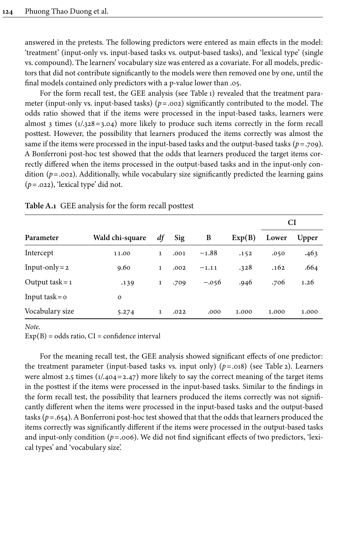answered in the pretests. The following predictors were entered as main effects in the model: 'treatment' (input-only vs. input-based tasks vs. output-based tasks), and 'lexical type' (single vs. compound). The learners' vocabulary size was entered as a covariate. For all models, predictors that did not contribute significantly to the models were then removed one by one, until the final models contained only predictors with a p-value lower than .05.

For the form recall test, the GEE analysis (see [Table](#page-24-0) 1) revealed that the treatment parameter (input-only vs. input-based tasks) (*p*=.002) significantly contributed to the model. The odds ratio showed that if the items were processed in the input-based tasks, learners were almost 3 times  $(1/328=3.04)$  more likely to produce such items correctly in the form recall posttest. However, the possibility that learners produced the items correctly was almost the same if the items were processed in the input-based tasks and the output-based tasks ( $p = .709$ ). A Bonferroni post-hoc test showed that the odds that learners produced the target items correctly differed when the items processed in the output-based tasks and in the input-only condition ( $p = .002$ ). Additionally, while vocabulary size significantly predicted the learning gains (*p*=.022), 'lexical type' did not.

|                      |                 |              |      |         |        | CI    |       |
|----------------------|-----------------|--------------|------|---------|--------|-------|-------|
| Parameter            | Wald chi-square | df           | Sig  | B       | Exp(B) | Lower | Upper |
| Intercept            | 11.00           | $\mathbf{1}$ | .001 | $-1.88$ | .152   | .050  | .463  |
| Input-only = $2$     | 9.60            | $\mathbf{1}$ | .002 | $-1.11$ | .328   | .162  | .664  |
| Output task = $1$    | .139            | $\mathbf{1}$ | .709 | $-.056$ | .946   | .706  | 1.26  |
| Input task = $\circ$ | $\mathbf 0$     |              |      |         |        |       |       |
| Vocabulary size      | 5.274           | $\mathbf 1$  | .022 | .000    | 1.000  | 1.000 | 1.000 |

<span id="page-24-0"></span>**Table A.1** GEE analysis for the form recall posttest

*Note*.

 $Exp(B) = odds ratio, CI = confidence interval$ 

For the meaning recall test, the GEE analysis showed significant effects of one predictor: the treatment parameter (input-based tasks vs. input only)  $(p=.018)$  (see [Table](#page-25-0) 2). Learners were almost 2.5 times  $(1/404 = 2.47)$  more likely to say the correct meaning of the target items in the posttest if the items were processed in the input-based tasks. Similar to the findings in the form recall test, the possibility that learners produced the items correctly was not significantly different when the items were processed in the input-based tasks and the output-based tasks (*p*=.654). A Bonferroni post-hoc test showed that that the odds that learners produced the items correctly was significantly different if the items were processed in the output-based tasks and input-only condition ( $p = .006$ ). We did not find significant effects of two predictors, 'lexical types' and 'vocabulary size'.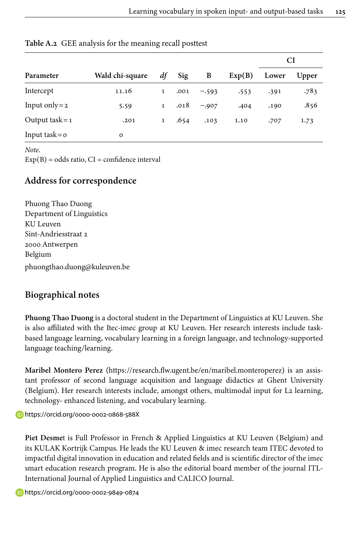|                      |                 |              |      |         |        |       | CI    |
|----------------------|-----------------|--------------|------|---------|--------|-------|-------|
| Parameter            | Wald chi-square | df           | Sig  | B       | Exp(B) | Lower | Upper |
| Intercept            | 11.16           | $\mathbf{1}$ | .001 | $-.593$ | .553   | .391  | .783  |
| Input only = $2$     | 5.59            | $\mathbf{1}$ | .018 | $-.907$ | .404   | .190  | .856  |
| Output task = $1$    | .201            | $\mathbf{1}$ | .654 | .103    | 1.10   | .707  | 1.73  |
| Input task = $\circ$ | $\mathbf 0$     |              |      |         |        |       |       |

<span id="page-25-0"></span>**Table A.2** GEE analysis for the meaning recall posttest

*Note*.

 $Exp(B) = odds ratio, CI = confidence interval$ 

## **Address for correspondence**

Phuong Thao Duong Department of Linguistics KU Leuven Sint-Andriesstraat 2 2000 Antwerpen Belgium [phuongthao.duong@kuleuven.be](mailto:phuongthao.duong@kuleuven.be)

# **Biographical notes**

**Phuong Thao Duong** is a doctoral student in the Department of Linguistics at KU Leuven. She is also affiliated with the Itec-imec group at KU Leuven. Her research interests include taskbased language learning, vocabulary learning in a foreign language, and technology-supported language teaching/learning.

**Maribel Montero Perez** (<https://research.flw.ugent.be/en/maribel.monteroperez>) is an assistant professor of second language acquisition and language didactics at Ghent University (Belgium). Her research interests include, amongst others, multimodal input for L2 learning, technology- enhanced listening, and vocabulary learning.

<https://orcid.org/0000-0002-0868-588X>

**Piet Desme**t is Full Professor in French & Applied Linguistics at KU Leuven (Belgium) and its KULAK Kortrijk Campus. He leads the KU Leuven & imec research team ITEC devoted to impactful digital innovation in education and related fields and is scientific director of the imec smart education research program. He is also the editorial board member of the journal ITL-International Journal of Applied Linguistics and CALICO Journal.

<https://orcid.org/0000-0002-9849-0874>